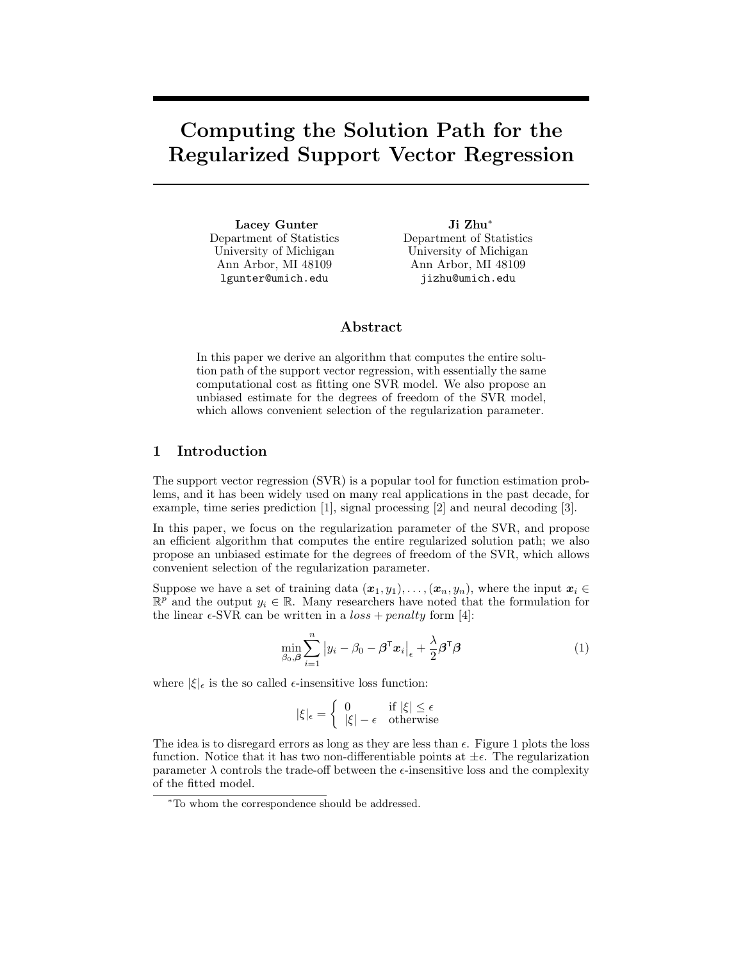# **Computing the Solution Path for the Regularized Support Vector Regression**

**Lacey Gunter** Department of Statistics University of Michigan Ann Arbor, MI 48109 lgunter@umich.edu

**Ji Zhu**∗ Department of Statistics University of Michigan Ann Arbor, MI 48109 jizhu@umich.edu

# **Abstract**

In this paper we derive an algorithm that computes the entire solution path of the support vector regression, with essentially the same computational cost as fitting one SVR model. We also propose an unbiased estimate for the degrees of freedom of the SVR model, which allows convenient selection of the regularization parameter.

# **1 Introduction**

The support vector regression (SVR) is a popular tool for function estimation problems, and it has been widely used on many real applications in the past decade, for example, time series prediction [1], signal processing [2] and neural decoding [3].

In this paper, we focus on the regularization parameter of the SVR, and propose an efficient algorithm that computes the entire regularized solution path; we also propose an unbiased estimate for the degrees of freedom of the SVR, which allows convenient selection of the regularization parameter.

Suppose we have a set of training data  $(\boldsymbol{x}_1,y_1),\ldots,(\boldsymbol{x}_n,y_n)$ , where the input  $\boldsymbol{x}_i \in \mathbb{R}$  $\mathbb{R}^p$  and the output  $y_i \in \mathbb{R}$ . Many researchers have noted that the formulation for the linear  $\epsilon$ -SVR can be written in a  $loss + penalty$  form [4]:

$$
\min_{\beta_0, \beta} \sum_{i=1}^n |y_i - \beta_0 - \beta^\mathsf{T} x_i|_{\epsilon} + \frac{\lambda}{2} \beta^\mathsf{T} \beta \tag{1}
$$

where  $|\xi|_{\epsilon}$  is the so called  $\epsilon$ -insensitive loss function:

$$
|\xi|_{\epsilon} = \begin{cases} 0 & \text{if } |\xi| \le \epsilon \\ |\xi| - \epsilon & \text{otherwise} \end{cases}
$$

The idea is to disregard errors as long as they are less than  $\epsilon$ . Figure 1 plots the loss function. Notice that it has two non-differentiable points at  $\pm \epsilon$ . The regularization parameter  $\lambda$  controls the trade-off between the  $\epsilon$ -insensitive loss and the complexity of the fitted model.

<sup>∗</sup>To whom the correspondence should be addressed.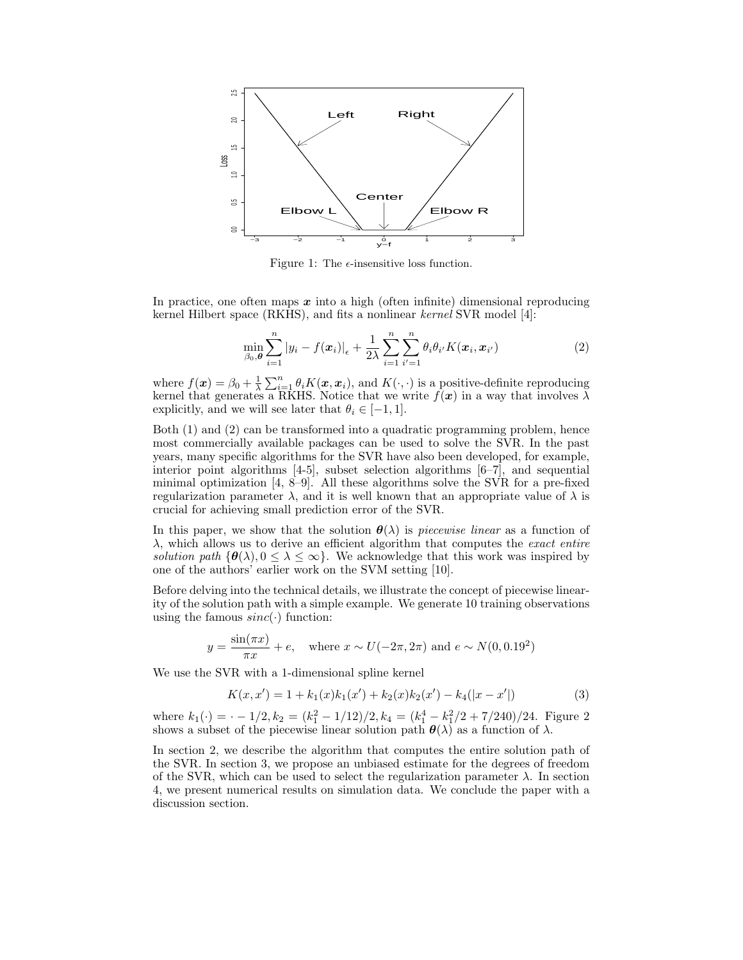

Figure 1: The  $\epsilon$ -insensitive loss function.

In practice, one often maps *x* into a high (often infinite) dimensional reproducing kernel Hilbert space (RKHS), and fits a nonlinear kernel SVR model [4]:

$$
\min_{\beta_0,\boldsymbol{\theta}} \sum_{i=1}^n |y_i - f(\boldsymbol{x}_i)|_{\epsilon} + \frac{1}{2\lambda} \sum_{i=1}^n \sum_{i'=1}^n \theta_i \theta_{i'} K(\boldsymbol{x}_i, \boldsymbol{x}_{i'}) \tag{2}
$$

where  $f(x) = \beta_0 + \frac{1}{\lambda} \sum_{i=1}^n \theta_i K(x, x_i)$ , and  $K(\cdot, \cdot)$  is a positive-definite reproducing kernel that generates a RKHS. Notice that we write  $f(x)$  in a way that involves  $\lambda$ explicitly, and we will see later that  $\theta_i \in [-1, 1]$ .

Both (1) and (2) can be transformed into a quadratic programming problem, hence most commercially available packages can be used to solve the SVR. In the past years, many specific algorithms for the SVR have also been developed, for example, interior point algorithms [4-5], subset selection algorithms [6–7], and sequential minimal optimization [4, 8–9]. All these algorithms solve the SVR for a pre-fixed regularization parameter  $\lambda$ , and it is well known that an appropriate value of  $\lambda$  is crucial for achieving small prediction error of the SVR.

In this paper, we show that the solution  $\theta(\lambda)$  is *piecewise linear* as a function of  $\lambda$ , which allows us to derive an efficient algorithm that computes the *exact entire* solution path  ${\theta(\lambda), 0 \leq \lambda \leq \infty}$ . We acknowledge that this work was inspired by one of the authors' earlier work on the SVM setting [10].

Before delving into the technical details, we illustrate the concept of piecewise linearity of the solution path with a simple example. We generate 10 training observations using the famous  $sinc(\cdot)$  function:

$$
y = \frac{\sin(\pi x)}{\pi x} + e
$$
, where  $x \sim U(-2\pi, 2\pi)$  and  $e \sim N(0, 0.19^2)$ 

We use the SVR with a 1-dimensional spline kernel

$$
K(x, x') = 1 + k_1(x)k_1(x') + k_2(x)k_2(x') - k_4(|x - x'|)
$$
\n(3)

where  $k_1(\cdot) = \cdot -1/2, k_2 = (k_1^2 - 1/12)/2, k_4 = (k_1^4 - k_1^2/2 + 7/240)/24$ . Figure 2 shows a subset of the piecewise linear solution path  $\theta(\lambda)$  as a function of  $\lambda$ .

In section 2, we describe the algorithm that computes the entire solution path of the SVR. In section 3, we propose an unbiased estimate for the degrees of freedom of the SVR, which can be used to select the regularization parameter  $\lambda$ . In section 4, we present numerical results on simulation data. We conclude the paper with a discussion section.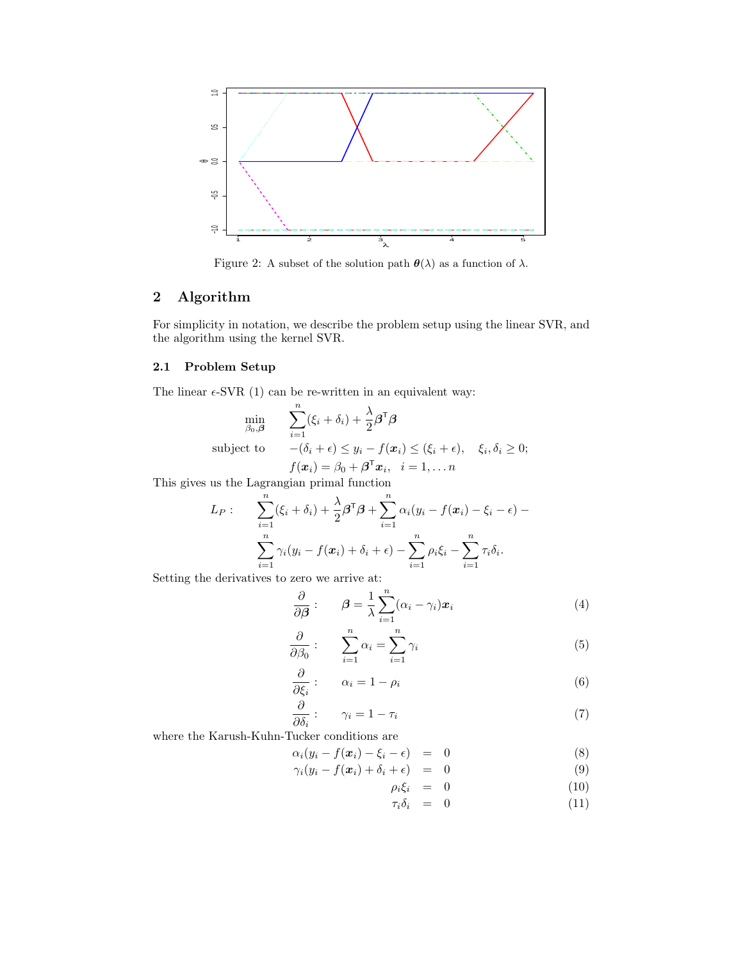

Figure 2: A subset of the solution path  $\theta(\lambda)$  as a function of  $\lambda$ .

# **2 Algorithm**

For simplicity in notation, we describe the problem setup using the linear SVR, and the algorithm using the kernel SVR.

# **2.1 Problem Setup**

The linear  $\epsilon$ -SVR (1) can be re-written in an equivalent way:

$$
\min_{\beta_0, \beta} \qquad \sum_{i=1}^n (\xi_i + \delta_i) + \frac{\lambda}{2} \beta^{\mathsf{T}} \beta
$$
\n
$$
\text{subject to} \qquad -(\delta_i + \epsilon) \le y_i - f(x_i) \le (\xi_i + \epsilon), \quad \xi_i, \delta_i \ge 0;
$$
\n
$$
f(x_i) = \beta_0 + \beta^{\mathsf{T}} x_i, \quad i = 1, \dots n
$$

This gives us the Lagrangian primal function

$$
L_P: \qquad \sum_{i=1}^n (\xi_i + \delta_i) + \frac{\lambda}{2} \boldsymbol{\beta}^\mathsf{T} \boldsymbol{\beta} + \sum_{i=1}^n \alpha_i (y_i - f(\boldsymbol{x}_i) - \xi_i - \epsilon) - \sum_{i=1}^n \gamma_i (y_i - f(\boldsymbol{x}_i) + \delta_i + \epsilon) - \sum_{i=1}^n \rho_i \xi_i - \sum_{i=1}^n \tau_i \delta_i.
$$

Setting the derivatives to zero we arrive at:

$$
\frac{\partial}{\partial \beta} : \qquad \beta = \frac{1}{\lambda} \sum_{i=1}^{n} (\alpha_i - \gamma_i) x_i \tag{4}
$$

$$
\frac{\partial}{\partial \beta_0} : \qquad \sum_{i=1}^n \alpha_i = \sum_{i=1}^n \gamma_i \tag{5}
$$

$$
\frac{\partial}{\partial \xi_i}:\qquad \alpha_i=1-\rho_i\tag{6}
$$

$$
\frac{\partial}{\partial \delta_i}:\qquad \gamma_i=1-\tau_i\tag{7}
$$

where the Karush-Kuhn-Tucker conditions are

$$
\alpha_i(y_i - f(\boldsymbol{x}_i) - \xi_i - \epsilon) = 0 \tag{8}
$$

$$
\gamma_i(y_i - f(\mathbf{x}_i) + \delta_i + \epsilon) = 0 \tag{9}
$$

$$
\rho_i \xi_i = 0 \tag{10}
$$

$$
\tau_i \delta_i = 0 \tag{11}
$$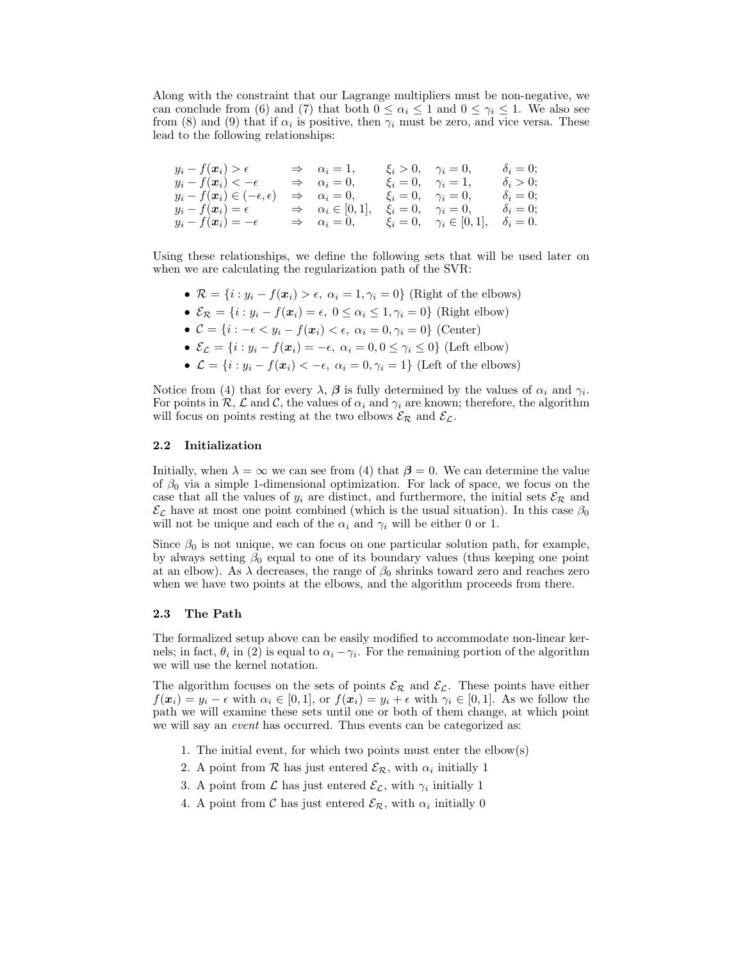Along with the constraint that our Lagrange multipliers must be non-negative, we can conclude from (6) and (7) that both  $0 \leq \alpha_i \leq 1$  and  $0 \leq \gamma_i \leq 1$ . We also see from (8) and (9) that if  $\alpha_i$  is positive, then  $\gamma_i$  must be zero, and vice versa. These lead to the following relationships:

 $y_i - f(\boldsymbol{x}_i) > \epsilon \qquad \Rightarrow \quad \alpha_i = 1, \qquad \xi_i > 0, \quad \gamma_i = 0, \qquad \delta_i = 0;$  $y_i - f(\boldsymbol{x}_i) < -\epsilon \qquad \Rightarrow \quad \alpha_i = 0, \qquad \xi_i = 0, \quad \gamma_i = 1, \qquad \delta_i > 0;$  $y_i - f(\boldsymbol{x}_i) \in (-\epsilon, \epsilon) \Rightarrow \alpha_i = 0, \quad \xi_i = 0, \quad \gamma_i = 0, \quad \delta_i = 0;$  $y_i - f(\boldsymbol{x}_i) = \epsilon \Rightarrow \alpha_i \in [0, 1], \quad \xi_i = 0, \quad \gamma_i = 0, \quad \delta_i = 0;$  $y_i - f(\boldsymbol{x}_i) = -\epsilon \implies \alpha_i = 0, \qquad \xi_i = 0, \quad \gamma_i \in [0, 1], \quad \delta_i = 0.$ 

Using these relationships, we define the following sets that will be used later on when we are calculating the regularization path of the SVR:

- $\mathcal{R} = \{i : y_i f(\mathbf{x}_i) > \epsilon, \ \alpha_i = 1, \gamma_i = 0\}$  (Right of the elbows)
- $\mathcal{E}_{\mathcal{R}} = \{i : y_i f(\boldsymbol{x}_i) = \epsilon, 0 \leq \alpha_i \leq 1, \gamma_i = 0\}$  (Right elbow)
- $C = \{i : -\epsilon < y_i f(x_i) < \epsilon, \ \alpha_i = 0, \gamma_i = 0\}$  (Center)
- $\mathcal{E}_{\mathcal{L}} = \{i : y_i f(\boldsymbol{x}_i) = -\epsilon, \ \alpha_i = 0, 0 \leq \gamma_i \leq 0\}$  (Left elbow)
- $\mathcal{L} = \{i : y_i f(\mathbf{x}_i) < -\epsilon, \ \alpha_i = 0, \gamma_i = 1\}$  (Left of the elbows)

Notice from (4) that for every  $\lambda$ ,  $\beta$  is fully determined by the values of  $\alpha_i$  and  $\gamma_i$ . For points in  $\mathcal{R}, \mathcal{L}$  and  $\mathcal{C}$ , the values of  $\alpha_i$  and  $\gamma_i$  are known; therefore, the algorithm will focus on points resting at the two elbows  $\mathcal{E}_{\mathcal{R}}$  and  $\mathcal{E}_{\mathcal{L}}$ .

#### **2.2 Initialization**

Initially, when  $\lambda = \infty$  we can see from (4) that  $\beta = 0$ . We can determine the value of  $\beta_0$  via a simple 1-dimensional optimization. For lack of space, we focus on the case that all the values of  $y_i$  are distinct, and furthermore, the initial sets  $\mathcal{E}_{\mathcal{R}}$  and  $\mathcal{E}_{\mathcal{L}}$  have at most one point combined (which is the usual situation). In this case  $\beta_0$ will not be unique and each of the  $\alpha_i$  and  $\gamma_i$  will be either 0 or 1.

Since  $\beta_0$  is not unique, we can focus on one particular solution path, for example, by always setting  $\beta_0$  equal to one of its boundary values (thus keeping one point at an elbow). As  $\lambda$  decreases, the range of  $\beta_0$  shrinks toward zero and reaches zero when we have two points at the elbows, and the algorithm proceeds from there.

#### **2.3 The Path**

The formalized setup above can be easily modified to accommodate non-linear kernels; in fact,  $\theta_i$  in (2) is equal to  $\alpha_i - \gamma_i$ . For the remaining portion of the algorithm we will use the kernel notation.

The algorithm focuses on the sets of points  $\mathcal{E}_{\mathcal{R}}$  and  $\mathcal{E}_{\mathcal{L}}$ . These points have either  $f(\boldsymbol{x}_i) = y_i - \epsilon$  with  $\alpha_i \in [0,1]$ , or  $f(\boldsymbol{x}_i) = y_i + \epsilon$  with  $\gamma_i \in [0,1]$ . As we follow the path we will examine these sets until one or both of them change, at which point we will say an *event* has occurred. Thus events can be categorized as:

- 1. The initial event, for which two points must enter the elbow(s)
- 2. A point from  $\mathcal R$  has just entered  $\mathcal E_{\mathcal R}$ , with  $\alpha_i$  initially 1
- 3. A point from  $\mathcal L$  has just entered  $\mathcal E_{\mathcal L}$ , with  $\gamma_i$  initially 1
- 4. A point from  $\mathcal C$  has just entered  $\mathcal E_{\mathcal R}$ , with  $\alpha_i$  initially 0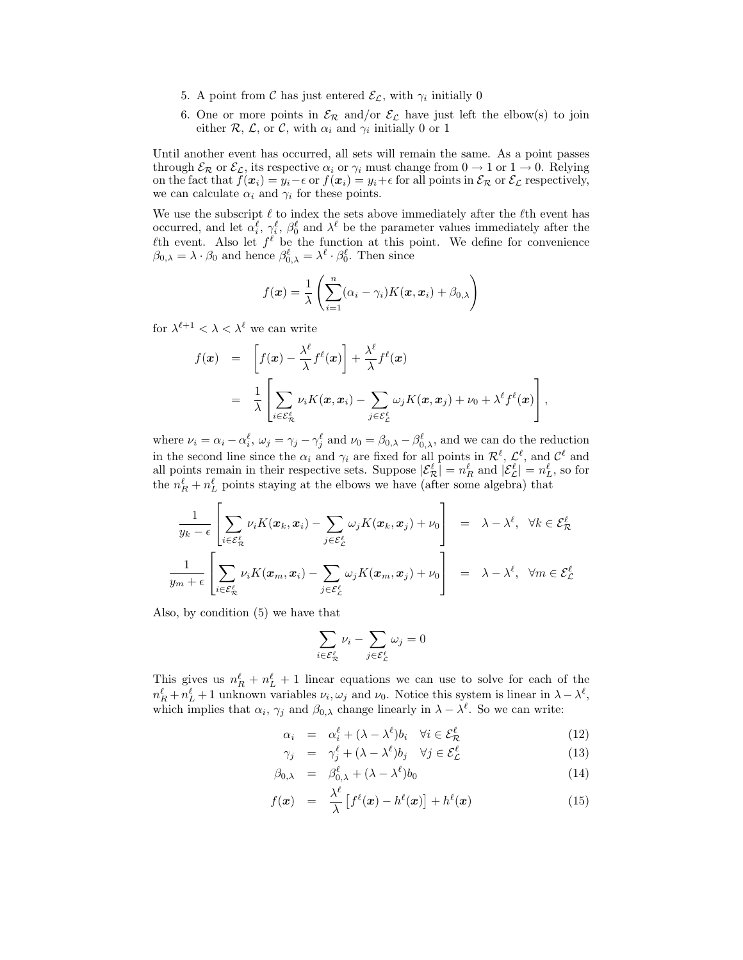- 5. A point from C has just entered  $\mathcal{E}_{\mathcal{L}}$ , with  $\gamma_i$  initially 0
- 6. One or more points in  $\mathcal{E}_{\mathcal{R}}$  and/or  $\mathcal{E}_{\mathcal{L}}$  have just left the elbow(s) to join either  $\mathcal{R}, \mathcal{L}, \text{ or } \mathcal{C}, \text{ with } \alpha_i \text{ and } \gamma_i \text{ initially } 0 \text{ or } 1$

Until another event has occurred, all sets will remain the same. As a point passes through  $\mathcal{E}_{\mathcal{R}}$  or  $\mathcal{E}_{\mathcal{L}}$ , its respective  $\alpha_i$  or  $\gamma_i$  must change from  $0 \to 1$  or  $1 \to 0$ . Relying on the fact that  $f(x_i) = y_i - \epsilon$  or  $f(x_i) = y_i + \epsilon$  for all points in  $\mathcal{E}_{\mathcal{R}}$  or  $\mathcal{E}_{\mathcal{L}}$  respectively, we can calculate  $\alpha_i$  and  $\gamma_i$  for these points.

We use the subscript  $\ell$  to index the sets above immediately after the  $\ell$ th event has occurred, and let  $\alpha_i^{\ell}, \gamma_i^{\ell}, \beta_0^{\ell}$  and  $\lambda^{\ell}$  be the parameter values immediately after the  $\ell$ th event. Also let  $f^{\ell}$  be the function at this point. We define for convenience  $\beta_{0,\lambda} = \lambda \cdot \beta_0$  and hence  $\beta_{0,\lambda}^{\ell} = \lambda^{\ell} \cdot \beta_0^{\ell}$ . Then since

$$
f(\boldsymbol{x}) = \frac{1}{\lambda} \left( \sum_{i=1}^{n} (\alpha_i - \gamma_i) K(\boldsymbol{x}, \boldsymbol{x}_i) + \beta_{0, \lambda} \right)
$$

for  $\lambda^{\ell+1} < \lambda < \lambda^{\ell}$  we can write

$$
f(\boldsymbol{x}) = \left[ f(\boldsymbol{x}) - \frac{\lambda^{\ell}}{\lambda} f^{\ell}(\boldsymbol{x}) \right] + \frac{\lambda^{\ell}}{\lambda} f^{\ell}(\boldsymbol{x})
$$
  
= 
$$
\frac{1}{\lambda} \left[ \sum_{i \in \mathcal{E}_{\mathcal{R}}^{\ell}} \nu_i K(\boldsymbol{x}, \boldsymbol{x}_i) - \sum_{j \in \mathcal{E}_{\mathcal{L}}^{\ell}} \omega_j K(\boldsymbol{x}, \boldsymbol{x}_j) + \nu_0 + \lambda^{\ell} f^{\ell}(\boldsymbol{x}) \right],
$$

where  $\nu_i = \alpha_i - \alpha_i^{\ell}, \ \omega_j = \gamma_j - \gamma_j^{\ell}$  and  $\nu_0 = \beta_{0,\lambda} - \beta_{0,\lambda}^{\ell}$ , and we can do the reduction in the second line since the  $\alpha_i$  and  $\gamma_i$  are fixed for all points in  $\mathcal{R}^{\ell}$ ,  $\mathcal{L}^{\ell}$ , and  $\mathcal{C}^{\ell}$  and all points remain in their respective sets. Suppose  $|\mathcal{E}^{\ell}_{R}| = n_R^{\ell}$  and  $|\mathcal{E}^{\ell}_{L}| = n_L^{\ell}$ , so for the  $n_R^{\ell} + n_L^{\ell}$  points staying at the elbows we have (after some algebra) that

$$
\frac{1}{y_k - \epsilon} \left[ \sum_{i \in \mathcal{E}^\ell_{\mathcal{R}}} \nu_i K(\boldsymbol{x}_k, \boldsymbol{x}_i) - \sum_{j \in \mathcal{E}^\ell_{\mathcal{L}}} \omega_j K(\boldsymbol{x}_k, \boldsymbol{x}_j) + \nu_0 \right] = \lambda - \lambda^\ell, \quad \forall k \in \mathcal{E}^\ell_{\mathcal{R}}
$$

$$
\frac{1}{y_m + \epsilon} \left[ \sum_{i \in \mathcal{E}^\ell_{\mathcal{R}}} \nu_i K(\boldsymbol{x}_m, \boldsymbol{x}_i) - \sum_{j \in \mathcal{E}^\ell_{\mathcal{L}}} \omega_j K(\boldsymbol{x}_m, \boldsymbol{x}_j) + \nu_0 \right] = \lambda - \lambda^\ell, \quad \forall m \in \mathcal{E}^\ell_{\mathcal{L}}
$$

Also, by condition (5) we have that

$$
\sum_{i\in\mathcal{E}_\mathcal{R}^\ell}\nu_i-\sum_{j\in\mathcal{E}_\mathcal{L}^\ell}\omega_j=0
$$

This gives us  $n_R^{\ell} + n_L^{\ell} + 1$  linear equations we can use to solve for each of the  $n_R^{\ell} + n_L^{\ell} + 1$  unknown variables  $\nu_i, \omega_j$  and  $\nu_0$ . Notice this system is linear in  $\lambda - \lambda^{\ell}$ , which implies that  $\alpha_i$ ,  $\gamma_j$  and  $\beta_{0,\lambda}$  change linearly in  $\lambda - \lambda^{\ell}$ . So we can write:

$$
\alpha_i = \alpha_i^{\ell} + (\lambda - \lambda^{\ell})b_i \quad \forall i \in \mathcal{E}_{\mathcal{R}}^{\ell}
$$
 (12)

$$
\gamma_j = \gamma_j^{\ell} + (\lambda - \lambda^{\ell})b_j \quad \forall j \in \mathcal{E}_{\mathcal{L}}^{\ell}
$$
 (13)

$$
\beta_{0,\lambda} = \beta_{0,\lambda}^{\ell} + (\lambda - \lambda^{\ell})b_0 \tag{14}
$$

$$
f(\boldsymbol{x}) = \frac{\lambda^{\ell}}{\lambda} \left[ f^{\ell}(\boldsymbol{x}) - h^{\ell}(\boldsymbol{x}) \right] + h^{\ell}(\boldsymbol{x}) \tag{15}
$$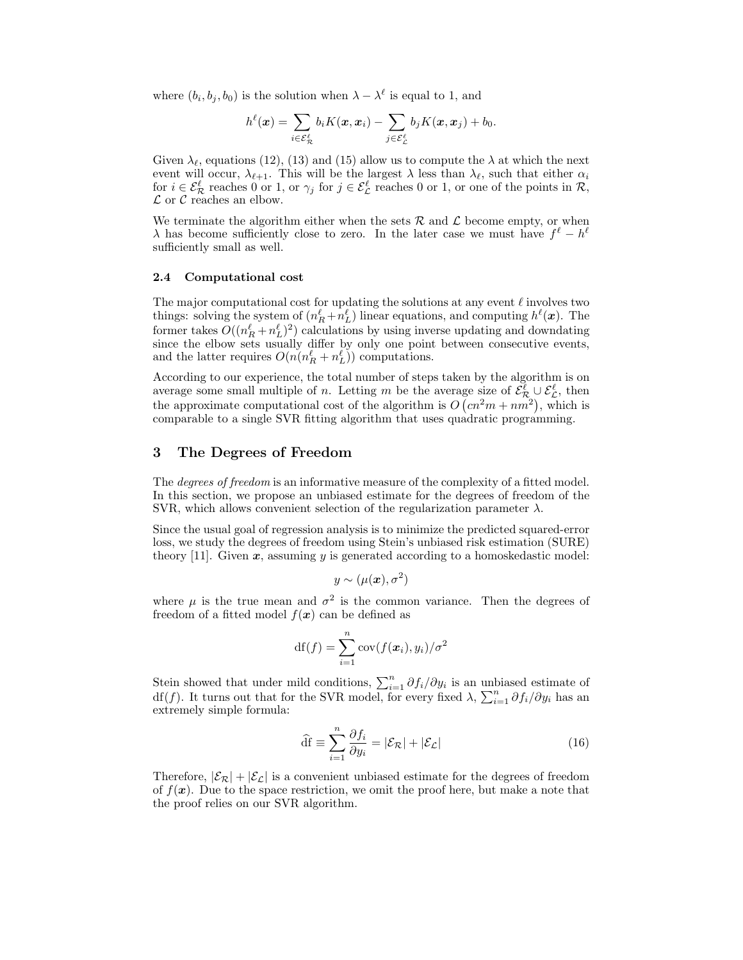where  $(b_i, b_j, b_0)$  is the solution when  $\lambda - \lambda^{\ell}$  is equal to 1, and

$$
h^{\ell}(\boldsymbol{x}) = \sum_{i \in \mathcal{E}_{\mathcal{R}}^{\ell}} b_i K(\boldsymbol{x}, \boldsymbol{x}_i) - \sum_{j \in \mathcal{E}_{\mathcal{L}}^{\ell}} b_j K(\boldsymbol{x}, \boldsymbol{x}_j) + b_0.
$$

Given  $\lambda_{\ell}$ , equations (12), (13) and (15) allow us to compute the  $\lambda$  at which the next event will occur,  $\lambda_{\ell+1}$ . This will be the largest  $\lambda$  less than  $\lambda_{\ell}$ , such that either  $\alpha_i$ for  $i \in \mathcal{E}_{\mathcal{R}}^{\ell}$  reaches 0 or 1, or  $\gamma_j$  for  $j \in \mathcal{E}_{\mathcal{L}}^{\ell}$  reaches 0 or 1, or one of the points in  $\mathcal{R}$ ,  $\mathcal L$  or  $\mathcal C$  reaches an elbow.

We terminate the algorithm either when the sets  $\mathcal R$  and  $\mathcal L$  become empty, or when  $\lambda$  has become sufficiently close to zero. In the later case we must have  $f^{\ell} - h^{\ell}$ sufficiently small as well.

#### **2.4 Computational cost**

The major computational cost for updating the solutions at any event  $\ell$  involves two things: solving the system of  $(n_R^{\ell} + n_L^{\ell})$  linear equations, and computing  $h^{\ell}(\boldsymbol{x})$ . The former takes  $O((n_R^{\ell} + n_L^{\ell})^2)$  calculations by using inverse updating and downdating since the elbow sets usually differ by only one point between consecutive events, and the latter requires  $O(n(n_R^{\ell} + n_L^{\ell}))$  computations.

According to our experience, the total number of steps taken by the algorithm is on average some small multiple of *n*. Letting *m* be the average size of  $\mathcal{E}_{\mathcal{R}}^{\ell} \cup \mathcal{E}_{\mathcal{L}}^{\ell}$ , then the approximate computational cost of the algorithm is  $O(n^2m + nm^2)$ , which is comparable to a single SVR fitting algorithm that uses quadratic programming.

## **3 The Degrees of Freedom**

The *degrees of freedom* is an informative measure of the complexity of a fitted model. In this section, we propose an unbiased estimate for the degrees of freedom of the SVR, which allows convenient selection of the regularization parameter  $\lambda$ .

Since the usual goal of regression analysis is to minimize the predicted squared-error loss, we study the degrees of freedom using Stein's unbiased risk estimation (SURE) theory [11]. Given  $x$ , assuming  $y$  is generated according to a homoskedastic model:

$$
y \sim (\mu(\bm{x}), \sigma^2)
$$

where  $\mu$  is the true mean and  $\sigma^2$  is the common variance. Then the degrees of freedom of a fitted model  $f(x)$  can be defined as

$$
df(f) = \sum_{i=1}^{n} cov(f(\boldsymbol{x}_i), y_i) / \sigma^2
$$

Stein showed that under mild conditions,  $\sum_{i=1}^{n} \partial f_i / \partial y_i$  is an unbiased estimate of df(f). It turns out that for the SVR model, for every fixed  $\lambda$ ,  $\sum_{i=1}^{n} \partial f_i / \partial y_i$  has an extremely simple formula:

$$
\widehat{\mathrm{df}} \equiv \sum_{i=1}^{n} \frac{\partial f_i}{\partial y_i} = |\mathcal{E}_{\mathcal{R}}| + |\mathcal{E}_{\mathcal{L}}| \tag{16}
$$

Therefore,  $|\mathcal{E}_R| + |\mathcal{E}_L|$  is a convenient unbiased estimate for the degrees of freedom of  $f(\mathbf{x})$ . Due to the space restriction, we omit the proof here, but make a note that the proof relies on our SVR algorithm.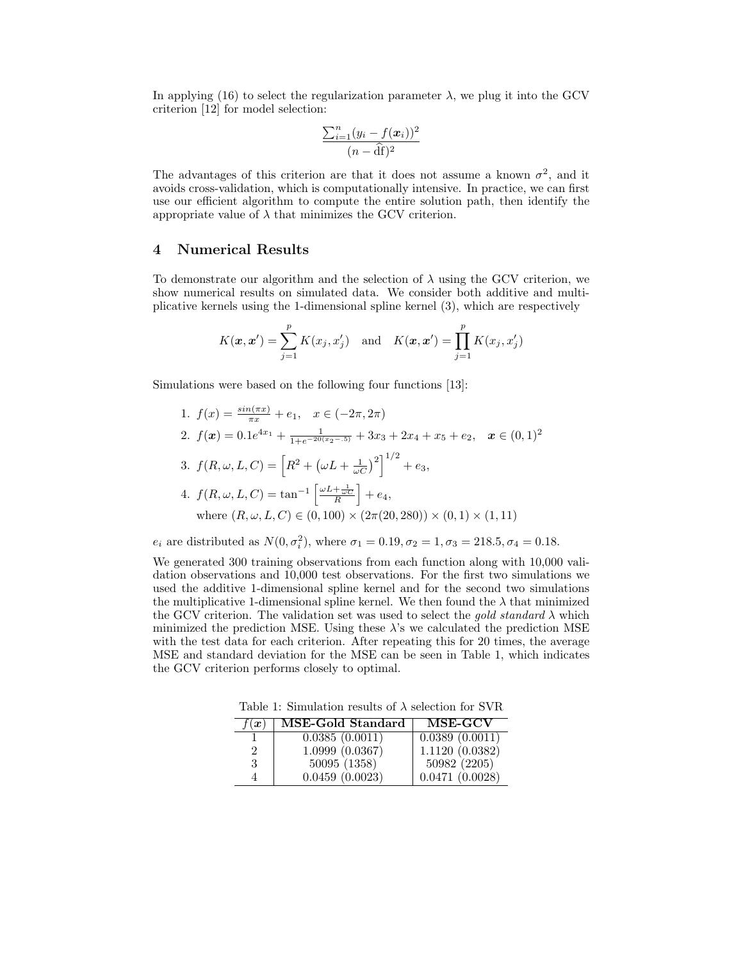In applying (16) to select the regularization parameter  $\lambda$ , we plug it into the GCV criterion [12] for model selection:

$$
\frac{\sum_{i=1}^{n}(y_i - f(\boldsymbol{x}_i))^2}{(n - \widehat{\mathrm{df}})^2}
$$

The advantages of this criterion are that it does not assume a known  $\sigma^2$ , and it avoids cross-validation, which is computationally intensive. In practice, we can first use our efficient algorithm to compute the entire solution path, then identify the appropriate value of  $\lambda$  that minimizes the GCV criterion.

# **4 Numerical Results**

To demonstrate our algorithm and the selection of  $\lambda$  using the GCV criterion, we show numerical results on simulated data. We consider both additive and multiplicative kernels using the 1-dimensional spline kernel (3), which are respectively

$$
K(\boldsymbol{x}, \boldsymbol{x}') = \sum_{j=1}^{p} K(x_j, x'_j) \text{ and } K(\boldsymbol{x}, \boldsymbol{x}') = \prod_{j=1}^{p} K(x_j, x'_j)
$$

Simulations were based on the following four functions [13]:

1.  $f(x) = \frac{\sin(\pi x)}{\pi x} + e_1, \quad x \in (-2\pi, 2\pi)$ 2.  $f(\mathbf{x}) = 0.1e^{4x_1} + \frac{1}{1+e^{-20(x_2-0.5)}} + 3x_3 + 2x_4 + x_5 + e_2, \quad \mathbf{x} \in (0,1)^2$ 3.  $f(R, \omega, L, C) = \left[R^2 + (\omega L + \frac{1}{\omega C})^2\right]^{1/2} + e_3$ 4.  $f(R, \omega, L, C) = \tan^{-1} \left[ \frac{\omega L + \frac{1}{\omega C}}{R} \right]$  $+ e_4,$ where  $(R, \omega, L, C) \in (0, 100) \times (2\pi(20, 280)) \times (0, 1) \times (1, 11)$ 

 $e_i$  are distributed as  $N(0, \sigma_i^2)$ , where  $\sigma_1 = 0.19, \sigma_2 = 1, \sigma_3 = 218.5, \sigma_4 = 0.18$ .

We generated 300 training observations from each function along with 10,000 validation observations and 10,000 test observations. For the first two simulations we used the additive 1-dimensional spline kernel and for the second two simulations the multiplicative 1-dimensional spline kernel. We then found the  $\lambda$  that minimized the GCV criterion. The validation set was used to select the gold standard  $\lambda$  which minimized the prediction MSE. Using these  $\lambda$ 's we calculated the prediction MSE with the test data for each criterion. After repeating this for 20 times, the average MSE and standard deviation for the MSE can be seen in Table 1, which indicates the GCV criterion performs closely to optimal.

Table 1: Simulation results of  $\lambda$  selection for SVR

| (x) | MSE-Gold Standard | MSE-GCV        |
|-----|-------------------|----------------|
|     | 0.0385(0.0011)    | 0.0389(0.0011) |
| 2   | 1.0999(0.0367)    | 1.1120(0.0382) |
| 3   | 50095 (1358)      | 50982 (2205)   |
| 4   | 0.0459(0.0023)    | 0.0471(0.0028) |